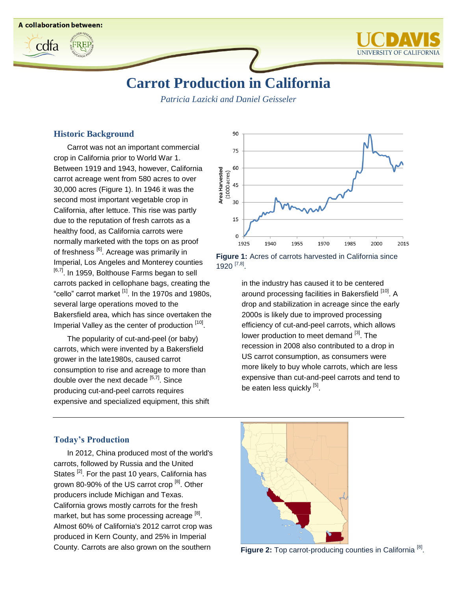

# **Carrot Production in California**

*Patricia Lazicki and Daniel Geisseler*

#### **Historic Background**

**A collaboration between:** 

cdfa

Carrot was not an important commercial crop in California prior to World War 1. Between 1919 and 1943, however, California carrot acreage went from 580 acres to over 30,000 acres (Figure 1). In 1946 it was the second most important vegetable crop in California, after lettuce. This rise was partly due to the reputation of fresh carrots as a healthy food, as California carrots were normally marketed with the tops on as proof of freshness <sup>[\[6\]](#page-2-2)</sup>. Acreage was primarily in Imperial, Los Angeles and Monterey counties <sup>[\[6,](#page-2-2)[7\]](#page-2-0)</sup>. In 1959, Bolthouse Farms began to sell carrots packed in cellophane bags, creating the "cello" carrot market <sup>[\[1\]](#page-2-3)</sup>. In the 1970s and 1980s, several large operations moved to the Bakersfield area, which has since overtaken the Imperial Valley as the center of production [\[10\]](#page-2-4).

The popularity of cut-and-peel (or baby) carrots, which were invented by a Bakersfield grower in the late1980s, caused carrot consumption to rise and acreage to more than double over the next decade <sup>[\[5,](#page-2-5)[7\]](#page-2-0)</sup>. Since producing cut-and-peel carrots requires expensive and specialized equipment, this shift



**Figure 1:** Acres of carrots harvested in California since 1920<sup>[\[7,](#page-2-0)[8\]](#page-2-1)</sup>.

> in the industry has caused it to be centered around processing facilities in Bakersfield <sup>[\[10\]](#page-2-4)</sup>. A drop and stabilization in acreage since the early 2000s is likely due to improved processing efficiency of cut-and-peel carrots, which allows lower production to meet demand <sup>[\[3\]](#page-2-6)</sup>. The recession in 2008 also contributed to a drop in US carrot consumption, as consumers were more likely to buy whole carrots, which are less expensive than cut-and-peel carrots and tend to be eaten less quickly <sup>[\[5\]](#page-2-5)</sup>.

### **Today's Production**

In 2012, China produced most of the world's carrots, followed by Russia and the United States <sup>[\[2\]](#page-2-7)</sup>. For the past 10 years, California has grown 80-90% of the US carrot crop <sup>[\[8\]](#page-2-1)</sup>. Other producers include Michigan and Texas. California grows mostly carrots for the fresh market, but has some processing acreage <sup>[\[8\]](#page-2-1)</sup>. Almost 60% of California's 2012 carrot crop was produced in Kern County, and 25% in Imperial County. Carrots are also grown on the southern



Figure 2: Top carrot-producing counties in California<sup>[\[8\]](#page-2-1)</sup>.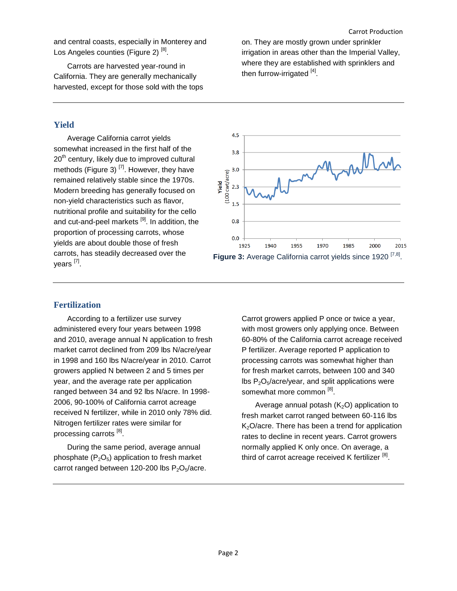and central coasts, especially in Monterey and Los Angeles counties (Figure 2)<sup>[\[8\]](#page-2-1)</sup>.

Carrots are harvested year-round in California. They are generally mechanically harvested, except for those sold with the tops on. They are mostly grown under sprinkler irrigation in areas other than the Imperial Valley, where they are established with sprinklers and then furrow-irrigated [\[4\]](#page-2-8).

## **Yield**

Average California carrot yields somewhat increased in the first half of the 20<sup>th</sup> century, likely due to improved cultural methods (Figure 3)<sup>[\[7\]](#page-2-0)</sup>. However, they have remained relatively stable since the 1970s. Modern breeding has generally focused on non-yield characteristics such as flavor, nutritional profile and suitability for the cello and cut-and-peel markets <sup>[\[9\]](#page-2-9)</sup>. In addition, the proportion of processing carrots, whose yields are about double those of fresh carrots, has steadily decreased over the years <sup>[\[7\]](#page-2-0)</sup>.



# **Fertilization**

According to a fertilizer use survey administered every four years between 1998 and 2010, average annual N application to fresh market carrot declined from 209 lbs N/acre/year in 1998 and 160 lbs N/acre/year in 2010. Carrot growers applied N between 2 and 5 times per year, and the average rate per application ranged between 34 and 92 lbs N/acre. In 1998- 2006, 90-100% of California carrot acreage received N fertilizer, while in 2010 only 78% did. Nitrogen fertilizer rates were similar for processing carrots [\[8\]](#page-2-1).

During the same period, average annual phosphate  $(P_2O_5)$  application to fresh market carrot ranged between 120-200 lbs  $P_2O_5/acre$ . Carrot growers applied P once or twice a year, with most growers only applying once. Between 60-80% of the California carrot acreage received P fertilizer. Average reported P application to processing carrots was somewhat higher than for fresh market carrots, between 100 and 340 lbs  $P_2O_5/ac$ re/year, and split applications were somewhat more common  $^{[8]}$  $^{[8]}$  $^{[8]}$ .

Average annual potash  $(K_2O)$  application to fresh market carrot ranged between 60-116 lbs K<sub>2</sub>O/acre. There has been a trend for application rates to decline in recent years. Carrot growers normally applied K only once. On average, a third of carrot acreage received K fertilizer <sup>[\[8\]](#page-2-1)</sup>.